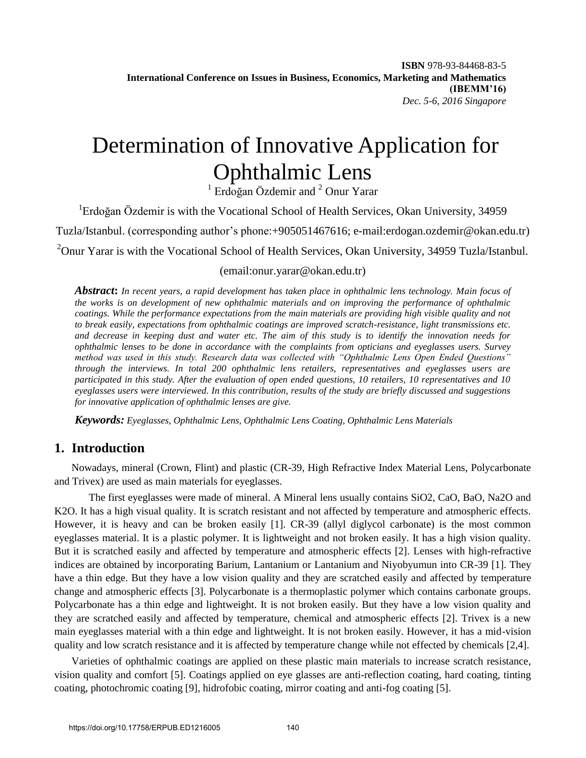**ISBN** 978-93-84468-83-5 **International Conference on Issues in Business, Economics, Marketing and Mathematics (IBEMM'16)** *Dec. 5-6, 2016 Singapore*

# Determination of Innovative Application for Ophthalmic Lens

<sup>1</sup> Erdoğan Özdemir and <sup>2</sup> Onur Yarar

<sup>1</sup>Erdoğan Özdemir is with the Vocational School of Health Services, Okan University, 34959 Tuzla/Istanbul. (corresponding author's phone:+905051467616; e-mail:erdogan.ozdemir@okan.edu.tr)

<sup>2</sup>Onur Yarar is with the Vocational School of Health Services, Okan University, 34959 Tuzla/Istanbul.

#### (email:onur.yarar@okan.edu.tr)

*Abstract***:** *In recent years, a rapid development has taken place in ophthalmic lens technology. Main focus of the works is on development of new ophthalmic materials and on improving the performance of ophthalmic coatings. While the performance expectations from the main materials are providing high visible quality and not to break easily, expectations from ophthalmic coatings are improved scratch-resistance, light transmissions etc. and decrease in keeping dust and water etc. The aim of this study is to identify the innovation needs for ophthalmic lenses to be done in accordance with the complaints from opticians and eyeglasses users. Survey method was used in this study. Research data was collected with "Ophthalmic Lens Open Ended Questions" through the interviews. In total 200 ophthalmic lens retailers, representatives and eyeglasses users are participated in this study. After the evaluation of open ended questions, 10 retailers, 10 representatives and 10 eyeglasses users were interviewed. In this contribution, results of the study are briefly discussed and suggestions for innovative application of ophthalmic lenses are give.* 

*Keywords: Eyeglasses, Ophthalmic Lens, Ophthalmic Lens Coating, Ophthalmic Lens Materials*

## **1. Introduction**

Nowadays, mineral (Crown, Flint) and plastic (CR-39, High Refractive Index Material Lens, Polycarbonate and Trivex) are used as main materials for eyeglasses.

 The first eyeglasses were made of mineral. A Mineral lens usually contains SiO2, CaO, BaO, Na2O and K2O. It has a high visual quality. It is scratch resistant and not affected by temperature and atmospheric effects. However, it is heavy and can be broken easily [1]. CR-39 (allyl diglycol carbonate) is the most common eyeglasses material. It is a plastic polymer. It is lightweight and not broken easily. It has a high vision quality. But it is scratched easily and affected by temperature and atmospheric effects [2]. Lenses with high-refractive indices are obtained by incorporating Barium, Lantanium or Lantanium and Niyobyumun into CR-39 [1]. They have a thin edge. But they have a low vision quality and they are scratched easily and affected by temperature change and atmospheric effects [3]. Polycarbonate is a thermoplastic polymer which contains carbonate groups. Polycarbonate has a thin edge and lightweight. It is not broken easily. But they have a low vision quality and they are scratched easily and affected by temperature, chemical and atmospheric effects [2]. Trivex is a new main eyeglasses material with a thin edge and lightweight. It is not broken easily. However, it has a mid-vision quality and low scratch resistance and it is affected by temperature change while not effected by chemicals [2,4].

Varieties of ophthalmic coatings are applied on these plastic main materials to increase scratch resistance, vision quality and comfort [5]. Coatings applied on eye glasses are anti-reflection coating, hard coating, tinting coating, photochromic coating [9], hidrofobic coating, mirror coating and anti-fog coating [5].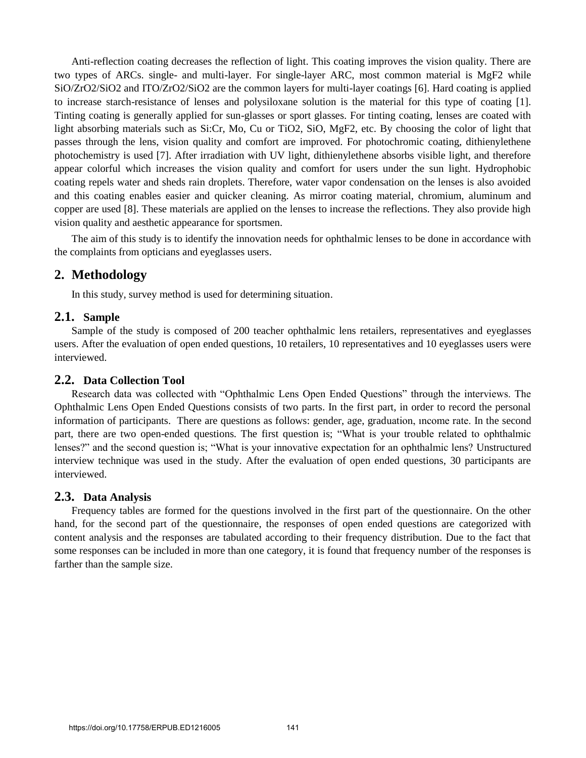Anti-reflection coating decreases the reflection of light. This coating improves the vision quality. There are two types of ARCs. single- and multi-layer. For single-layer ARC, most common material is MgF2 while SiO/ZrO2/SiO2 and ITO/ZrO2/SiO2 are the common layers for multi-layer coatings [6]. Hard coating is applied to increase starch-resistance of lenses and polysiloxane solution is the material for this type of coating [1]. Tinting coating is generally applied for sun-glasses or sport glasses. For tinting coating, lenses are coated with light absorbing materials such as Si:Cr, Mo, Cu or TiO2, SiO, MgF2, etc. By choosing the color of light that passes through the lens, vision quality and comfort are improved. For photochromic coating, dithienylethene photochemistry is used [7]. After irradiation with UV light, dithienylethene absorbs visible light, and therefore appear colorful which increases the vision quality and comfort for users under the sun light. Hydrophobic coating repels water and sheds rain droplets. Therefore, water vapor condensation on the lenses is also avoided and this coating enables easier and quicker cleaning. As mirror coating material, chromium, aluminum and copper are used [8]. These materials are applied on the lenses to increase the reflections. They also provide high vision quality and aesthetic appearance for sportsmen.

The aim of this study is to identify the innovation needs for ophthalmic lenses to be done in accordance with the complaints from opticians and eyeglasses users.

## **2. Methodology**

In this study, survey method is used for determining situation.

#### **2.1. Sample**

Sample of the study is composed of 200 teacher ophthalmic lens retailers, representatives and eyeglasses users. After the evaluation of open ended questions, 10 retailers, 10 representatives and 10 eyeglasses users were interviewed.

#### **2.2. Data Collection Tool**

Research data was collected with "Ophthalmic Lens Open Ended Questions" through the interviews. The Ophthalmic Lens Open Ended Questions consists of two parts. In the first part, in order to record the personal information of participants. There are questions as follows: gender, age, graduation, ıncome rate. In the second part, there are two open-ended questions. The first question is; "What is your trouble related to ophthalmic lenses?" and the second question is; "What is your innovative expectation for an ophthalmic lens? Unstructured interview technique was used in the study. After the evaluation of open ended questions, 30 participants are interviewed.

#### **2.3. Data Analysis**

Frequency tables are formed for the questions involved in the first part of the questionnaire. On the other hand, for the second part of the questionnaire, the responses of open ended questions are categorized with content analysis and the responses are tabulated according to their frequency distribution. Due to the fact that some responses can be included in more than one category, it is found that frequency number of the responses is farther than the sample size.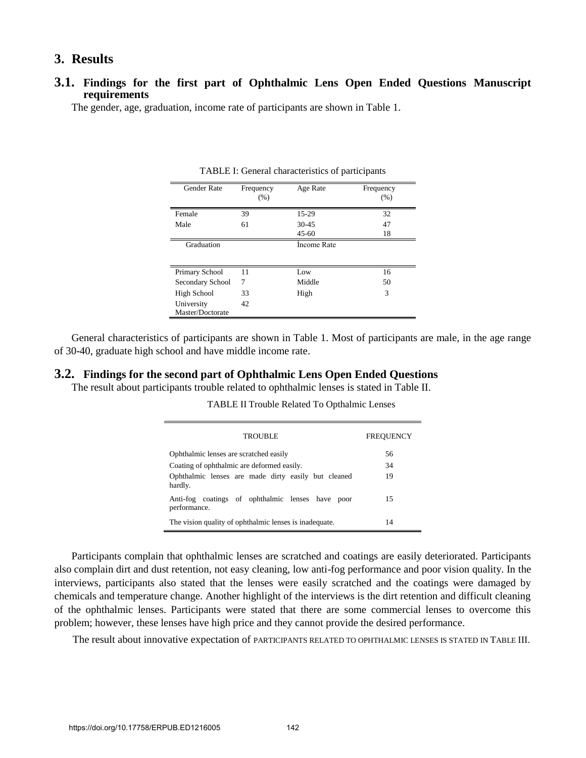## **3. Results**

#### **3.1. Findings for the first part of Ophthalmic Lens Open Ended Questions Manuscript requirements**

The gender, age, graduation, income rate of participants are shown in Table 1.

| <b>Gender Rate</b> | Frequency<br>(% ) | Age Rate    | Frequency<br>(% ) |
|--------------------|-------------------|-------------|-------------------|
| Female             | 39                | 15-29       | 32                |
| Male               | 61                | $30 - 45$   | 47                |
|                    |                   | $45 - 60$   | 18                |
| Graduation         |                   | Income Rate |                   |
|                    |                   |             |                   |
| Primary School     | 11                | Low         | 16                |
| Secondary School   | 7                 | Middle      | 50                |
| High School        | 33                | High        | 3                 |
| University         | 42                |             |                   |
| Master/Doctorate   |                   |             |                   |

TABLE I: General characteristics of participants

General characteristics of participants are shown in Table 1. Most of participants are male, in the age range of 30-40, graduate high school and have middle income rate.

#### **3.2. Findings for the second part of Ophthalmic Lens Open Ended Questions**

The result about participants trouble related to ophthalmic lenses is stated in Table II.

| <b>TROUBLE</b>                                                      | <b>FREQUENCY</b> |
|---------------------------------------------------------------------|------------------|
| Ophthalmic lenses are scratched easily                              | 56               |
| Coating of ophthalmic are deformed easily.                          | 34               |
| Ophthalmic lenses are made dirty easily but cleaned<br>hardly.      | 19               |
| Anti-fog coatings of ophthalmic lenses have<br>poor<br>performance. | 15               |
| The vision quality of ophthalmic lenses is inadequate.              | 14               |

TABLE II Trouble Related To Opthalmic Lenses

Participants complain that ophthalmic lenses are scratched and coatings are easily deteriorated. Participants also complain dirt and dust retention, not easy cleaning, low anti-fog performance and poor vision quality. In the interviews, participants also stated that the lenses were easily scratched and the coatings were damaged by chemicals and temperature change. Another highlight of the interviews is the dirt retention and difficult cleaning of the ophthalmic lenses. Participants were stated that there are some commercial lenses to overcome this problem; however, these lenses have high price and they cannot provide the desired performance.

The result about innovative expectation of PARTICIPANTS RELATED TO OPHTHALMIC LENSES IS STATED IN TABLE III.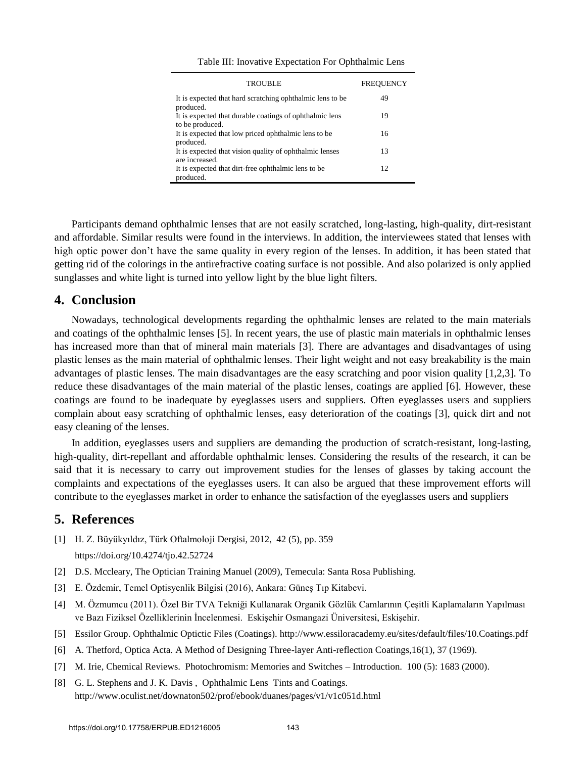| <b>TROUBLE</b>                                                            | FREOUENCY |
|---------------------------------------------------------------------------|-----------|
| It is expected that hard scratching ophthalmic lens to be<br>produced.    | 49        |
| It is expected that durable coatings of ophthalmic lens                   | 19        |
| to be produced.<br>It is expected that low priced ophthalmic lens to be   | 16        |
| produced.                                                                 |           |
| It is expected that vision quality of ophthalmic lenses<br>are increased. | 13        |
| It is expected that dirt-free ophthalmic lens to be                       | 12        |
| produced.                                                                 |           |

Table III: Inovative Expectation For Ophthalmic Lens

Participants demand ophthalmic lenses that are not easily scratched, long-lasting, high-quality, dirt-resistant and affordable. Similar results were found in the interviews. In addition, the interviewees stated that lenses with high optic power don't have the same quality in every region of the lenses. In addition, it has been stated that getting rid of the colorings in the antirefractive coating surface is not possible. And also polarized is only applied sunglasses and white light is turned into yellow light by the blue light filters.

### **4. Conclusion**

Nowadays, technological developments regarding the ophthalmic lenses are related to the main materials and coatings of the ophthalmic lenses [5]. In recent years, the use of plastic main materials in ophthalmic lenses has increased more than that of mineral main materials [3]. There are advantages and disadvantages of using plastic lenses as the main material of ophthalmic lenses. Their light weight and not easy breakability is the main advantages of plastic lenses. The main disadvantages are the easy scratching and poor vision quality [1,2,3]. To reduce these disadvantages of the main material of the plastic lenses, coatings are applied [6]. However, these coatings are found to be inadequate by eyeglasses users and suppliers. Often eyeglasses users and suppliers complain about easy scratching of ophthalmic lenses, easy deterioration of the coatings [3], quick dirt and not easy cleaning of the lenses.

In addition, eyeglasses users and suppliers are demanding the production of scratch-resistant, long-lasting, high-quality, dirt-repellant and affordable ophthalmic lenses. Considering the results of the research, it can be said that it is necessary to carry out improvement studies for the lenses of glasses by taking account the complaints and expectations of the eyeglasses users. It can also be argued that these improvement efforts will contribute to the eyeglasses market in order to enhance the satisfaction of the eyeglasses users and suppliers

#### **5. References**

- [1] [H. Z. Büyükyıldız, Türk Oftalmoloji Dergisi, 2012, 42 \(5\), pp. 359](https://doi.org/10.4274/tjo.42.52724) <https://doi.org/10.4274/tjo.42.52724>
- [2] D.S. Mccleary, The Optician Training Manuel (2009), Temecula: Santa Rosa Publishing.
- [3] E. Özdemir, Temel Optisyenlik Bilgisi (2016), Ankara: Güneş Tıp Kitabevi.
- [4] M. Özmumcu (2011). Özel Bir TVA Tekniği Kullanarak Organik Gözlük Camlarının Çeşitli Kaplamaların Yapılması ve Bazı Fiziksel Özelliklerinin İncelenmesi. Eskişehir Osmangazi Üniversitesi, Eskişehir.
- [5] Essilor Group. Ophthalmic Optictic Files (Coatings). http://www.essiloracademy.eu/sites/default/files/10.Coatings.pdf
- [6] A. Thetford, Optica Acta. A Method of Designing Three-layer Anti-reflection Coatings,16(1), 37 (1969).
- [7] M. Irie, Chemical Reviews. Photochromism: Memories and Switches Introduction. 100 (5): 1683 (2000).
- [8] G. L. Stephens and J. K. Davis, Ophthalmic Lens Tints and Coatings. http://www.oculist.net/downaton502/prof/ebook/duanes/pages/v1/v1c051d.html